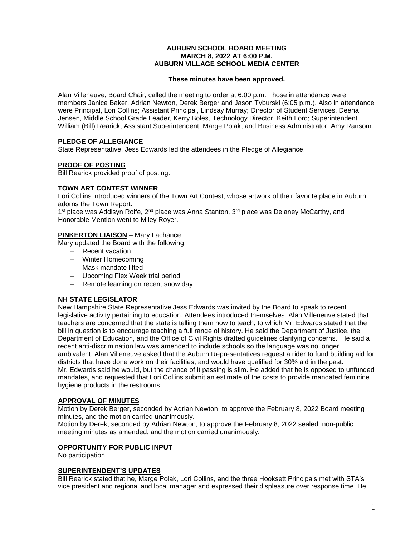#### **AUBURN SCHOOL BOARD MEETING MARCH 8, 2022 AT 6:00 P.M. AUBURN VILLAGE SCHOOL MEDIA CENTER**

### **These minutes have been approved.**

Alan Villeneuve, Board Chair, called the meeting to order at 6:00 p.m. Those in attendance were members Janice Baker, Adrian Newton, Derek Berger and Jason Tyburski (6:05 p.m.). Also in attendance were Principal, Lori Collins; Assistant Principal, Lindsay Murray; Director of Student Services, Deena Jensen, Middle School Grade Leader, Kerry Boles, Technology Director, Keith Lord; Superintendent William (Bill) Rearick, Assistant Superintendent, Marge Polak, and Business Administrator, Amy Ransom.

# **PLEDGE OF ALLEGIANCE**

State Representative, Jess Edwards led the attendees in the Pledge of Allegiance.

# **PROOF OF POSTING**

Bill Rearick provided proof of posting.

## **TOWN ART CONTEST WINNER**

Lori Collins introduced winners of the Town Art Contest, whose artwork of their favorite place in Auburn adorns the Town Report.

1<sup>st</sup> place was Addisyn Rolfe, 2<sup>nd</sup> place was Anna Stanton, 3<sup>rd</sup> place was Delaney McCarthy, and Honorable Mention went to Miley Royer.

# **PINKERTON LIAISON** – Mary Lachance

Mary updated the Board with the following:

- Recent vacation
- Winter Homecoming
- Mask mandate lifted
- Upcoming Flex Week trial period
- Remote learning on recent snow day

# **NH STATE LEGISLATOR**

New Hampshire State Representative Jess Edwards was invited by the Board to speak to recent legislative activity pertaining to education. Attendees introduced themselves. Alan Villeneuve stated that teachers are concerned that the state is telling them how to teach, to which Mr. Edwards stated that the bill in question is to encourage teaching a full range of history. He said the Department of Justice, the Department of Education, and the Office of Civil Rights drafted guidelines clarifying concerns. He said a recent anti-discrimination law was amended to include schools so the language was no longer ambivalent. Alan Villeneuve asked that the Auburn Representatives request a rider to fund building aid for districts that have done work on their facilities, and would have qualified for 30% aid in the past. Mr. Edwards said he would, but the chance of it passing is slim. He added that he is opposed to unfunded mandates, and requested that Lori Collins submit an estimate of the costs to provide mandated feminine hygiene products in the restrooms.

### **APPROVAL OF MINUTES**

Motion by Derek Berger, seconded by Adrian Newton, to approve the February 8, 2022 Board meeting minutes, and the motion carried unanimously.

Motion by Derek, seconded by Adrian Newton, to approve the February 8, 2022 sealed, non-public meeting minutes as amended, and the motion carried unanimously.

### **OPPORTUNITY FOR PUBLIC INPUT**

No participation.

### **SUPERINTENDENT'S UPDATES**

Bill Rearick stated that he, Marge Polak, Lori Collins, and the three Hooksett Principals met with STA's vice president and regional and local manager and expressed their displeasure over response time. He